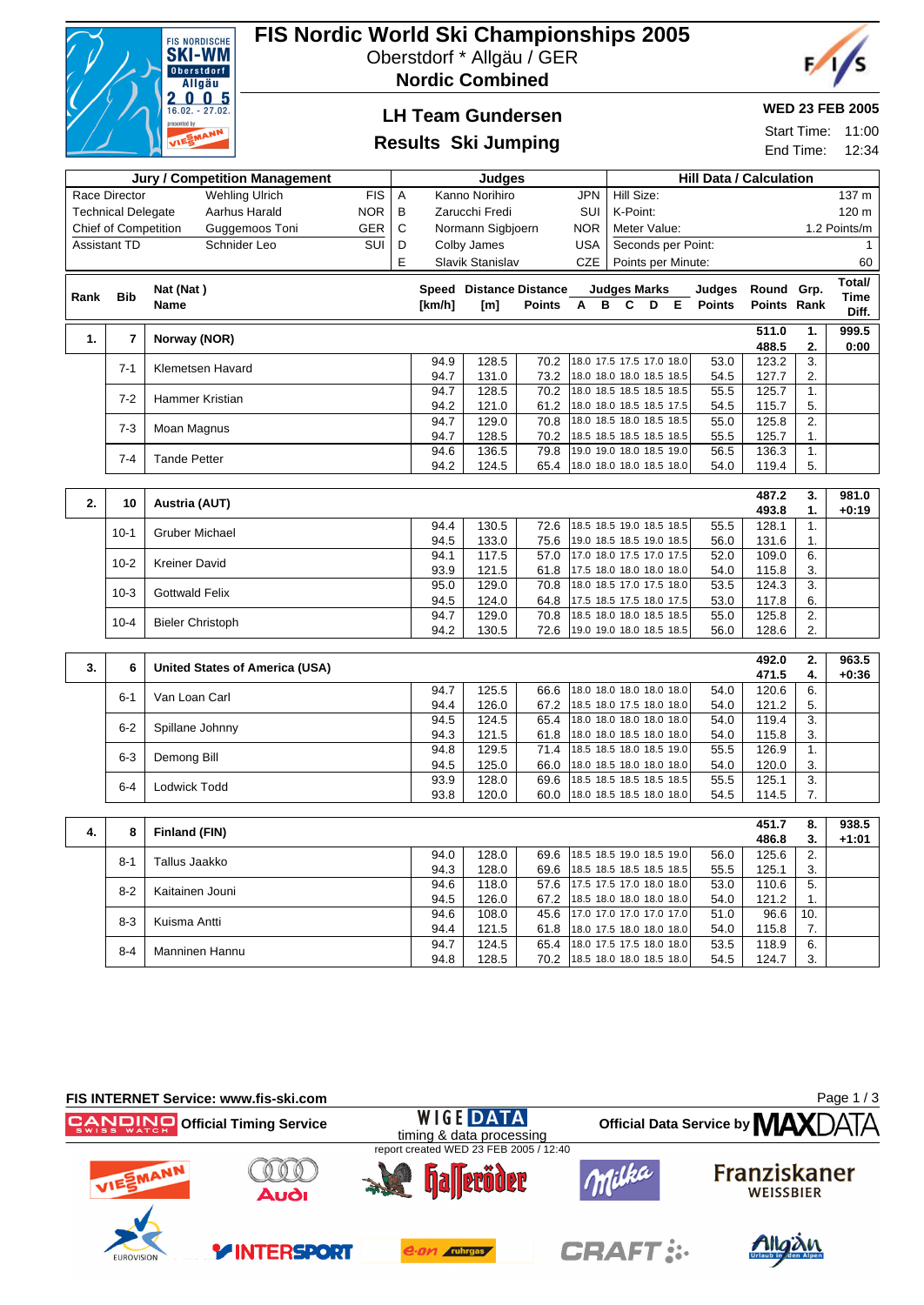

# **FIS Nordic World Ski Championships 2005**

Oberstdorf \* Allgäu / GER

**Nordic Combined**



## **LH Team Gundersen**

### **Results Ski Jumping**

#### **WED 23 FEB 2005**

Start Time: 11:00 End Time: 12:34

| <b>Jury / Competition Management</b>                     |                     |                                |                                   | Judges |              |                                |               |                                                      |                              | <b>Hill Data / Calculation</b> |                    |  |              |                |                  |              |
|----------------------------------------------------------|---------------------|--------------------------------|-----------------------------------|--------|--------------|--------------------------------|---------------|------------------------------------------------------|------------------------------|--------------------------------|--------------------|--|--------------|----------------|------------------|--------------|
| Race Director<br><b>Wehling Ulrich</b><br><b>FIS</b>     |                     |                                | <b>JPN</b><br>Α<br>Kanno Norihiro |        |              |                                |               |                                                      | Hill Size:                   |                                |                    |  |              |                | 137 m            |              |
| <b>NOR</b><br><b>Technical Delegate</b><br>Aarhus Harald |                     | B                              | Zarucchi Fredi<br>SUI             |        |              |                                |               |                                                      | K-Point:<br>120 m            |                                |                    |  |              |                |                  |              |
| GER<br>Guggemoos Toni<br><b>Chief of Competition</b>     |                     | C                              | Normann Sigbjoern<br><b>NOR</b>   |        |              |                                |               |                                                      | 1.2 Points/m<br>Meter Value: |                                |                    |  |              |                |                  |              |
|                                                          | <b>Assistant TD</b> | Schnider Leo                   | SUI                               | D      |              | Colby James                    |               | <b>USA</b>                                           |                              |                                | Seconds per Point: |  |              |                |                  | $\mathbf{1}$ |
|                                                          |                     |                                |                                   | E      |              | Slavik Stanislav               |               | <b>CZE</b>                                           |                              | Points per Minute:<br>60       |                    |  |              |                |                  |              |
|                                                          |                     |                                |                                   |        |              |                                |               |                                                      |                              |                                |                    |  |              |                |                  | Total/       |
| Rank                                                     | <b>Bib</b>          | Nat (Nat)                      |                                   |        |              | <b>Speed Distance Distance</b> |               |                                                      |                              | <b>Judges Marks</b>            |                    |  | Judges       | Round Grp.     |                  | Time         |
|                                                          |                     | <b>Name</b>                    |                                   |        | [km/h]       | [m]                            | <b>Points</b> | A                                                    | B                            | C                              | D                  |  | E Points     | Points Rank    |                  | Diff.        |
| 1.                                                       | $\overline{7}$      | Norway (NOR)                   |                                   |        |              |                                |               |                                                      |                              |                                |                    |  |              | 511.0          | 1.               | 999.5        |
|                                                          |                     |                                |                                   |        |              |                                |               |                                                      |                              |                                |                    |  |              | 488.5          | 2.               | 0:00         |
|                                                          | $7 - 1$             | Klemetsen Havard               |                                   |        | 94.9         | 128.5                          | 70.2          | 18.0 17.5 17.5 17.0 18.0                             |                              |                                |                    |  | 53.0         | 123.2          | $\overline{3}$ . |              |
|                                                          |                     |                                |                                   |        | 94.7         | 131.0                          | 73.2          | 18.0 18.0 18.0 18.5 18.5                             |                              |                                |                    |  | 54.5         | 127.7          | 2.               |              |
|                                                          | $7 - 2$             | Hammer Kristian                |                                   |        | 94.7<br>94.2 | 128.5<br>121.0                 | 70.2<br>61.2  | 18.0 18.5 18.5 18.5 18.5<br>18.0 18.0 18.5 18.5 17.5 |                              |                                |                    |  | 55.5<br>54.5 | 125.7<br>115.7 | 1.<br>5.         |              |
|                                                          |                     |                                |                                   |        | 94.7         | 129.0                          | 70.8          | 18.0 18.5 18.0 18.5 18.5                             |                              |                                |                    |  | 55.0         | 125.8          | 2.               |              |
|                                                          | $7 - 3$             | Moan Magnus                    |                                   |        | 94.7         | 128.5                          | 70.2          | 18.5 18.5 18.5 18.5 18.5                             |                              |                                |                    |  | 55.5         | 125.7          | 1.               |              |
|                                                          |                     |                                |                                   |        | 94.6         | 136.5                          | 79.8          | 19.0 19.0 18.0 18.5 19.0                             |                              |                                |                    |  | 56.5         | 136.3          | 1.               |              |
|                                                          | $7 - 4$             | <b>Tande Petter</b>            |                                   |        | 94.2         | 124.5                          | 65.4          | 18.0 18.0 18.0 18.5 18.0                             |                              |                                |                    |  | 54.0         | 119.4          | 5.               |              |
|                                                          |                     |                                |                                   |        |              |                                |               |                                                      |                              |                                |                    |  |              |                |                  |              |
| 2.                                                       | 10                  | Austria (AUT)                  |                                   |        |              |                                |               |                                                      |                              |                                |                    |  |              | 487.2          | 3.               | 981.0        |
|                                                          |                     |                                |                                   |        |              |                                |               |                                                      |                              |                                |                    |  |              | 493.8          | 1.               | $+0:19$      |
|                                                          | $10-1$              | <b>Gruber Michael</b>          |                                   |        | 94.4         | 130.5                          | 72.6          | 18.5 18.5 19.0 18.5 18.5                             |                              |                                |                    |  | 55.5         | 128.1          | 1.               |              |
|                                                          |                     |                                |                                   |        | 94.5         | 133.0                          | 75.6          | 19.0 18.5 18.5 19.0 18.5                             |                              |                                |                    |  | 56.0         | 131.6          | 1.               |              |
|                                                          | $10 - 2$            | <b>Kreiner David</b>           |                                   |        | 94.1<br>93.9 | 117.5<br>121.5                 | 57.0<br>61.8  | 17.0 18.0 17.5 17.0 17.5<br>17.5 18.0 18.0 18.0 18.0 |                              |                                |                    |  | 52.0<br>54.0 | 109.0<br>115.8 | 6.<br>3.         |              |
|                                                          |                     |                                |                                   |        | 95.0         | 129.0                          | 70.8          | 18.0 18.5 17.0 17.5 18.0                             |                              |                                |                    |  | 53.5         | 124.3          | 3.               |              |
|                                                          | $10-3$              | <b>Gottwald Felix</b>          |                                   |        | 94.5         | 124.0                          | 64.8          | 17.5 18.5 17.5 18.0 17.5                             |                              |                                |                    |  | 53.0         | 117.8          | 6.               |              |
|                                                          |                     |                                |                                   |        | 94.7         | 129.0                          | 70.8          | 18.5 18.0 18.0 18.5 18.5                             |                              |                                |                    |  | 55.0         | 125.8          | 2.               |              |
|                                                          | $10 - 4$            | <b>Bieler Christoph</b>        |                                   |        | 94.2         | 130.5                          | 72.6          | 19.0 19.0 18.0 18.5 18.5                             |                              |                                |                    |  | 56.0         | 128.6          | 2.               |              |
|                                                          |                     |                                |                                   |        |              |                                |               |                                                      |                              |                                |                    |  |              |                |                  |              |
| 3.                                                       | 6                   | United States of America (USA) |                                   |        |              |                                |               |                                                      |                              |                                |                    |  |              | 492.0          | 2.               | 963.5        |
|                                                          |                     |                                |                                   |        | 94.7         |                                |               |                                                      |                              |                                |                    |  |              | 471.5          | 4.               | $+0:36$      |
|                                                          | $6 - 1$             | Van Loan Carl                  |                                   |        | 94.4         | 125.5<br>126.0                 | 66.6<br>67.2  | 18.0 18.0 18.0 18.0 18.0<br>18.5 18.0 17.5 18.0 18.0 |                              |                                |                    |  | 54.0<br>54.0 | 120.6<br>121.2 | 6.<br>5.         |              |
|                                                          |                     |                                |                                   |        | 94.5         | 124.5                          | 65.4          | 18.0 18.0 18.0 18.0 18.0                             |                              |                                |                    |  | 54.0         | 119.4          | $\overline{3}$ . |              |
|                                                          | $6 - 2$             | Spillane Johnny                |                                   |        | 94.3         | 121.5                          | 61.8          | 18.0 18.0 18.5 18.0 18.0                             |                              |                                |                    |  | 54.0         | 115.8          | 3.               |              |
|                                                          |                     |                                |                                   |        | 94.8         | 129.5                          | 71.4          | 18.5 18.5 18.0 18.5 19.0                             |                              |                                |                    |  | 55.5         | 126.9          | 1.               |              |
|                                                          | $6 - 3$             | Demong Bill                    |                                   |        | 94.5         | 125.0                          | 66.0          | 18.0 18.5 18.0 18.0 18.0                             |                              |                                |                    |  | 54.0         | 120.0          | 3.               |              |
|                                                          | $6 - 4$             | Lodwick Todd                   |                                   |        | 93.9         | 128.0                          | 69.6          | 18.5 18.5 18.5 18.5 18.5                             |                              |                                |                    |  | 55.5         | 125.1          | 3.               |              |
|                                                          |                     |                                |                                   |        | 93.8         | 120.0                          | 60.0          | 18.0 18.5 18.5 18.0 18.0                             |                              |                                |                    |  | 54.5         | 114.5          | 7.               |              |
|                                                          |                     |                                |                                   |        |              |                                |               |                                                      |                              |                                |                    |  |              |                |                  |              |
| 4.                                                       | 8                   | Finland (FIN)                  |                                   |        |              |                                |               |                                                      |                              |                                |                    |  |              | 451.7          | 8.               | 938.5        |
|                                                          |                     |                                |                                   |        | 94.0         | 128.0                          | 69.6          | 18.5 18.5 19.0 18.5 19.0                             |                              |                                |                    |  | 56.0         | 486.8<br>125.6 | 3.<br>2.         | $+1:01$      |
|                                                          | $8 - 1$             | Tallus Jaakko                  |                                   |        | 94.3         | 128.0                          | 69.6          | 18.5 18.5 18.5 18.5 18.5                             |                              |                                |                    |  | 55.5         | 125.1          | 3.               |              |
|                                                          |                     |                                |                                   |        | 94.6         | 118.0                          | 57.6          | 17.5 17.5 17.0 18.0 18.0                             |                              |                                |                    |  | 53.0         | 110.6          | 5.               |              |
|                                                          | $8 - 2$             | Kaitainen Jouni                |                                   |        | 94.5         | 126.0                          | 67.2          | 18.5 18.0 18.0 18.0 18.0                             |                              |                                |                    |  | 54.0         | 121.2          | 1.               |              |
|                                                          | $8 - 3$             |                                |                                   |        | 94.6         | 108.0                          | 45.6          | 17.0 17.0 17.0 17.0 17.0                             |                              |                                |                    |  | 51.0         | 96.6           | 10.              |              |
|                                                          |                     | Kuisma Antti                   |                                   |        | 94.4         | 121.5                          | 61.8          | 18.0 17.5 18.0 18.0 18.0                             |                              |                                |                    |  | 54.0         | 115.8          | 7.               |              |
|                                                          | $8 - 4$             | Manninen Hannu                 |                                   |        | 94.7         | $\overline{124.5}$             | 65.4          | 18.0 17.5 17.5 18.0 18.0                             |                              |                                |                    |  | 53.5         | 118.9          | 6.               |              |
|                                                          |                     |                                |                                   |        | 94.8         | 128.5                          | 70.2          | 18.5 18.0 18.0 18.5 18.0                             |                              |                                |                    |  | 54.5         | 124.7          | 3.               |              |

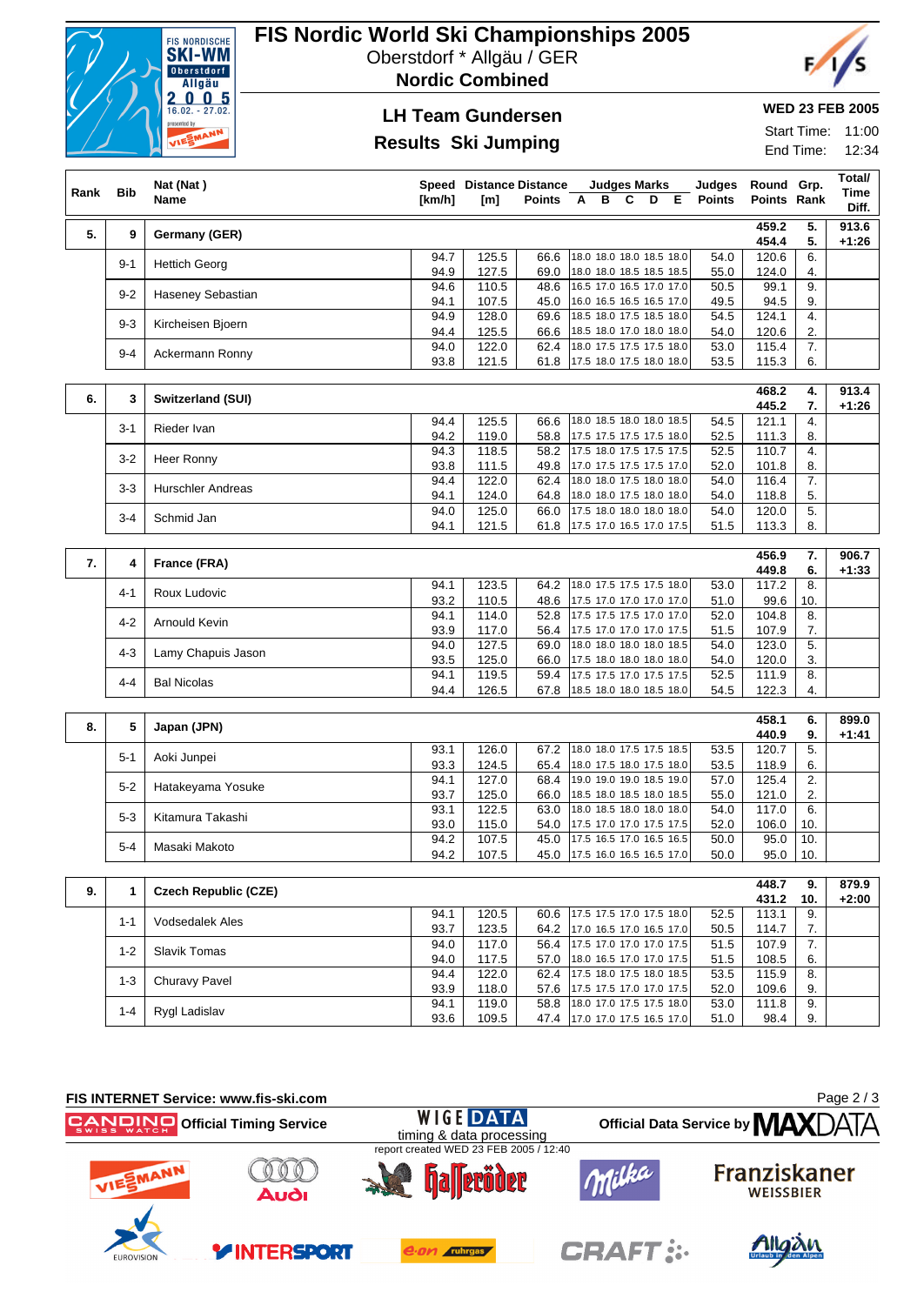

## **FIS Nordic World Ski Championships 2005**

Oberstdorf \* Allgäu / GER

**Nordic Combined**



# **LH Team Gundersen**

### **Results Ski Jumping**

#### **WED 23 FEB 2005**

Start Time: 11:00 End Time: 12:34

|      |            |                             | <b>Speed Distance Distance</b><br><b>Judges Marks</b> |                |               |   |   |   |   |                                                      |                         |                           |                        | Total/           |
|------|------------|-----------------------------|-------------------------------------------------------|----------------|---------------|---|---|---|---|------------------------------------------------------|-------------------------|---------------------------|------------------------|------------------|
| Rank | <b>Bib</b> | Nat (Nat)<br><b>Name</b>    | [km/h]                                                | [m]            | <b>Points</b> | A | в | C | D | E                                                    | Judges<br><b>Points</b> | Round Grp.<br>Points Rank |                        | Time             |
|      |            |                             |                                                       |                |               |   |   |   |   |                                                      |                         |                           |                        | Diff.            |
| 5.   | 9          | Germany (GER)               |                                                       |                |               |   |   |   |   |                                                      |                         | 459.2<br>454.4            | 5.<br>5.               | 913.6<br>$+1:26$ |
|      |            |                             | 94.7                                                  | 125.5          | 66.6          |   |   |   |   | 18.0 18.0 18.0 18.5 18.0                             | 54.0                    | 120.6                     | 6.                     |                  |
|      | 9-1        | <b>Hettich Georg</b>        | 94.9                                                  | 127.5          | 69.0          |   |   |   |   | 18.0 18.0 18.5 18.5 18.5                             | 55.0                    | 124.0                     | 4.                     |                  |
|      | $9 - 2$    | Haseney Sebastian           | 94.6                                                  | 110.5          | 48.6          |   |   |   |   | 16.5 17.0 16.5 17.0 17.0                             | 50.5                    | 99.1                      | 9.                     |                  |
|      |            |                             | 94.1                                                  | 107.5<br>128.0 | 45.0          |   |   |   |   | 16.0 16.5 16.5 16.5 17.0                             | 49.5                    | 94.5                      | 9.<br>$\overline{4}$ . |                  |
|      | $9 - 3$    | Kircheisen Bjoern           | 94.9<br>94.4                                          | 125.5          | 69.6<br>66.6  |   |   |   |   | 18.5 18.0 17.5 18.5 18.0<br>18.5 18.0 17.0 18.0 18.0 | 54.5<br>54.0            | 124.1<br>120.6            | 2.                     |                  |
|      |            |                             | 94.0                                                  | 122.0          | 62.4          |   |   |   |   | 18.0 17.5 17.5 17.5 18.0                             | 53.0                    | 115.4                     | 7.                     |                  |
|      | $9 - 4$    | Ackermann Ronny             | 93.8                                                  | 121.5          | 61.8          |   |   |   |   | 17.5 18.0 17.5 18.0 18.0                             | 53.5                    | 115.3                     | 6.                     |                  |
|      |            |                             |                                                       |                |               |   |   |   |   |                                                      |                         | 468.2                     | 4.                     | 913.4            |
| 6.   | 3          | Switzerland (SUI)           |                                                       |                |               |   |   |   |   |                                                      |                         | 445.2                     | 7.                     | $+1:26$          |
|      | $3 - 1$    | Rieder Ivan                 | 94.4                                                  | 125.5          | 66.6          |   |   |   |   | 18.0 18.5 18.0 18.0 18.5                             | 54.5                    | 121.1                     | 4.                     |                  |
|      |            |                             | 94.2                                                  | 119.0          | 58.8          |   |   |   |   | 17.5 17.5 17.5 17.5 18.0                             | 52.5                    | 111.3                     | 8.                     |                  |
|      | $3 - 2$    | Heer Ronny                  | 94.3                                                  | 118.5          | 58.2          |   |   |   |   | 17.5 18.0 17.5 17.5 17.5                             | 52.5                    | 110.7                     | 4.                     |                  |
|      |            |                             | 93.8<br>94.4                                          | 111.5<br>122.0 | 49.8<br>62.4  |   |   |   |   | 17.0 17.5 17.5 17.5 17.0<br>18.0 18.0 17.5 18.0 18.0 | 52.0<br>54.0            | 101.8<br>116.4            | 8.<br>$\overline{7}$ . |                  |
|      | $3 - 3$    | <b>Hurschler Andreas</b>    | 94.1                                                  | 124.0          | 64.8          |   |   |   |   | 18.0 18.0 17.5 18.0 18.0                             | 54.0                    | 118.8                     | 5.                     |                  |
|      | $3 - 4$    | Schmid Jan                  | 94.0                                                  | 125.0          | 66.0          |   |   |   |   | 17.5 18.0 18.0 18.0 18.0                             | 54.0                    | 120.0                     | 5.                     |                  |
|      |            |                             | 94.1                                                  | 121.5          | 61.8          |   |   |   |   | 17.5 17.0 16.5 17.0 17.5                             | 51.5                    | 113.3                     | 8.                     |                  |
|      |            |                             |                                                       |                |               |   |   |   |   |                                                      |                         | 456.9                     | $\overline{7}$ .       | 906.7            |
| 7.   | 4          | France (FRA)                |                                                       |                |               |   |   |   |   |                                                      |                         | 449.8                     | 6.                     | $+1:33$          |
|      | $4 - 1$    | Roux Ludovic                | 94.1                                                  | 123.5          | 64.2          |   |   |   |   | 18.0 17.5 17.5 17.5 18.0                             | 53.0                    | 117.2                     | 8.                     |                  |
|      |            |                             | 93.2                                                  | 110.5          | 48.6          |   |   |   |   | 17.5 17.0 17.0 17.0 17.0                             | 51.0                    | 99.6                      | 10.                    |                  |
|      | $4 - 2$    | Arnould Kevin               | 94.1<br>93.9                                          | 114.0<br>117.0 | 52.8<br>56.4  |   |   |   |   | 17.5 17.5 17.5 17.0 17.0<br>17.5 17.0 17.0 17.0 17.5 | 52.0<br>51.5            | 104.8<br>107.9            | 8.<br>7.               |                  |
|      |            |                             | 94.0                                                  | 127.5          | 69.0          |   |   |   |   | 18.0 18.0 18.0 18.0 18.5                             | 54.0                    | 123.0                     | 5.                     |                  |
|      | 4-3        | Lamy Chapuis Jason          | 93.5                                                  | 125.0          | 66.0          |   |   |   |   | 17.5 18.0 18.0 18.0 18.0                             | 54.0                    | 120.0                     | 3.                     |                  |
|      | 4-4        | <b>Bal Nicolas</b>          | 94.1                                                  | 119.5          | 59.4          |   |   |   |   | 17.5 17.5 17.0 17.5 17.5                             | 52.5                    | 111.9                     | 8.                     |                  |
|      |            |                             | 94.4                                                  | 126.5          | 67.8          |   |   |   |   | 18.5 18.0 18.0 18.5 18.0                             | 54.5                    | 122.3                     | 4.                     |                  |
|      |            |                             |                                                       |                |               |   |   |   |   |                                                      |                         | 458.1                     | 6.                     | 899.0            |
| 8.   | 5          | Japan (JPN)                 |                                                       |                |               |   |   |   |   |                                                      |                         | 440.9                     | 9.                     | $+1:41$          |
|      | 5-1        | Aoki Junpei                 | 93.1                                                  | 126.0          | 67.2          |   |   |   |   | 18.0 18.0 17.5 17.5 18.5                             | 53.5                    | 120.7                     | 5.                     |                  |
|      |            |                             | 93.3<br>94.1                                          | 124.5<br>127.0 | 65.4<br>68.4  |   |   |   |   | 18.0 17.5 18.0 17.5 18.0<br>19.0 19.0 19.0 18.5 19.0 | 53.5<br>57.0            | 118.9<br>125.4            | 6.<br>2.               |                  |
|      | $5 - 2$    | Hatakeyama Yosuke           | 93.7                                                  | 125.0          | 66.0          |   |   |   |   | 18.5 18.0 18.5 18.0 18.5                             | 55.0                    | 121.0                     | 2.                     |                  |
|      |            |                             | 93.1                                                  | 122.5          | 63.0          |   |   |   |   | 18.0 18.5 18.0 18.0 18.0                             | 54.0                    | 117.0                     | 6.                     |                  |
|      | $5 - 3$    | Kitamura Takashi            | 93.0                                                  | 115.0          | 54.0          |   |   |   |   | 17.5 17.0 17.0 17.5 17.5                             | 52.0                    | 106.0                     | 10.                    |                  |
|      | $5 - 4$    | Masaki Makoto               | 94.2                                                  | 107.5          | 45.0          |   |   |   |   | 17.5 16.5 17.0 16.5 16.5                             | 50.0                    | 95.0                      | 10.                    |                  |
|      |            |                             | 94.2                                                  | 107.5          | 45.0          |   |   |   |   | 17.5 16.0 16.5 16.5 17.0                             | 50.0                    | 95.0                      | 10.                    |                  |
| 9.   | 1          | <b>Czech Republic (CZE)</b> |                                                       |                |               |   |   |   |   |                                                      |                         | 448.7                     | 9.                     | 879.9            |
|      |            |                             |                                                       |                |               |   |   |   |   |                                                      |                         | 431.2                     | 10.                    | $+2:00$          |
|      | $1 - 1$    | Vodsedalek Ales             | 94.1<br>93.7                                          | 120.5<br>123.5 | 60.6<br>64.2  |   |   |   |   | 17.5 17.5 17.0 17.5 18.0<br>17.0 16.5 17.0 16.5 17.0 | 52.5<br>50.5            | 113.1<br>114.7            | 9.<br>7.               |                  |
|      |            |                             | 94.0                                                  | 117.0          | 56.4          |   |   |   |   | 17.5 17.0 17.0 17.0 17.5                             | 51.5                    | 107.9                     | 7.                     |                  |
|      | $1 - 2$    | <b>Slavik Tomas</b>         | 94.0                                                  | 117.5          | 57.0          |   |   |   |   | 18.0 16.5 17.0 17.0 17.5                             | 51.5                    | 108.5                     | 6.                     |                  |
|      | $1 - 3$    | Churavy Pavel               | 94.4                                                  | 122.0          | 62.4          |   |   |   |   | 17.5 18.0 17.5 18.0 18.5                             | 53.5                    | 115.9                     | 8.                     |                  |
|      |            |                             | 93.9                                                  | 118.0<br>119.0 | 57.6<br>58.8  |   |   |   |   | 17.5 17.5 17.0 17.0 17.5<br>18.0 17.0 17.5 17.5 18.0 | 52.0                    | 109.6                     | 9.<br>9.               |                  |
|      | $1 - 4$    | Rygl Ladislav               | 94.1<br>93.6                                          | 109.5          | 47.4          |   |   |   |   | 17.0 17.0 17.5 16.5 17.0                             | 53.0<br>51.0            | 111.8<br>98.4             | 9.                     |                  |